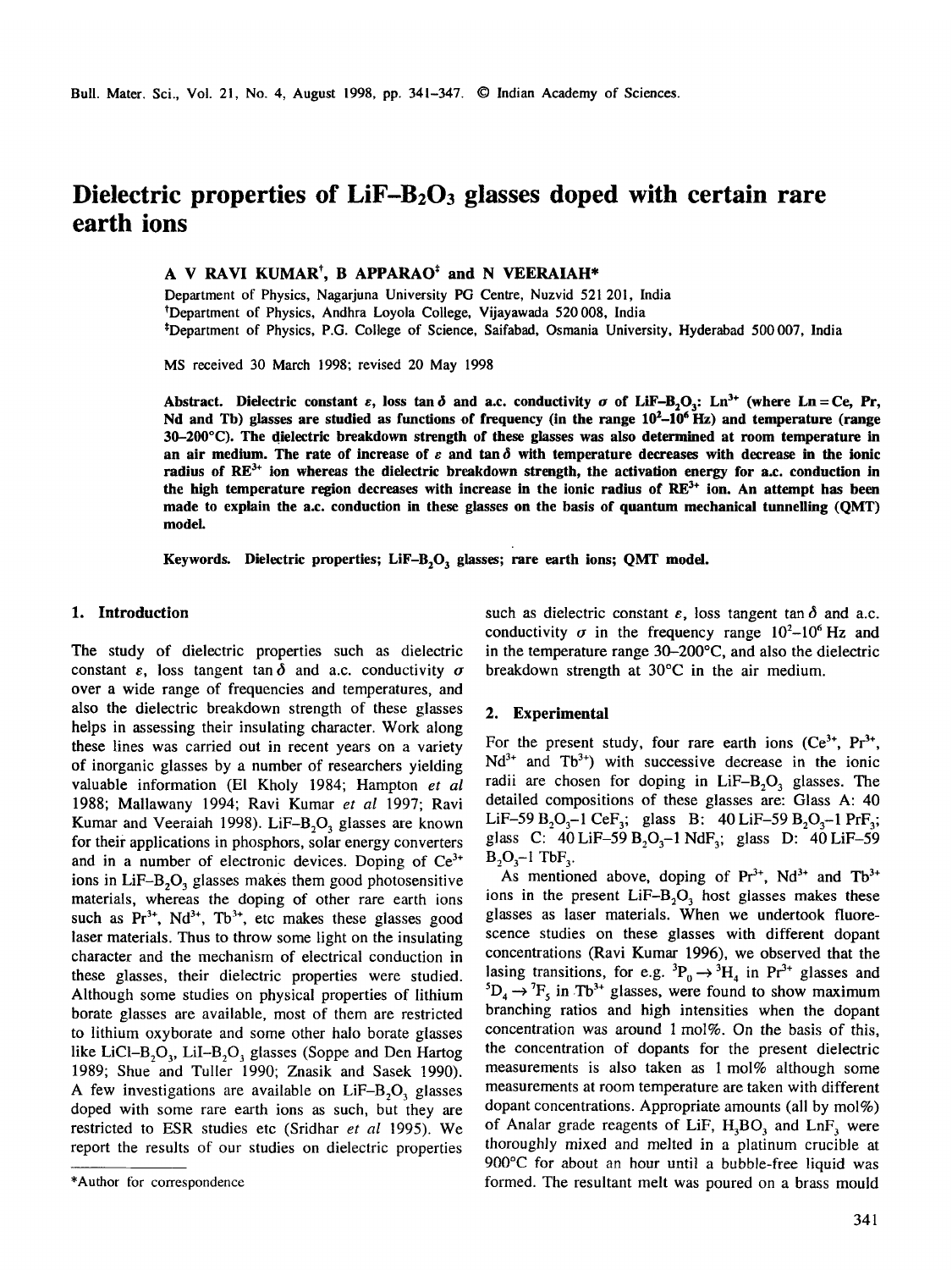# **Dielectric properties of LiF-B203 glasses doped with certain rare earth ions**

## **A V RAVI KUMAR\*, B APPARAO\* and N VEERAIAH\***

Department of Physics, Nagarjuna University PG Centre, Nuzvid 521 201, India tDepartment of Physics, Andhra Loyola College, Vijayawada 520 008, India \*Department of Physics, P.G. College of Science, Saifabad, Osmania University, Hyderabad 500007, India

MS received 30 March 1998; revised 20 May 1998

Abstract. Dielectric constant  $\varepsilon$ , loss tan  $\delta$  and a.c. conductivity  $\sigma$  of LiF-B<sub>2</sub>O<sub>3</sub>: Ln<sup>3+</sup> (where Ln = Ce, Pr, Nd and Tb) glasses are studied as functions of frequency (in the range  $10^2-10^6$  Hz) and temperature (range **30-200°C). The dielectric breakdown strength of these glasses was also determined at room temperature in**  an air medium. The rate of increase of  $\varepsilon$  and tan  $\delta$  with temperature decreases with decrease in the ionic radius of RE<sup>3+</sup> ion whereas the dielectric breakdown strength, the activation energy for a.c. conduction in the high temperature region decreases with increase in the ionic radius of RE<sup>3+</sup> ion. An attempt has been **made to explain the a.c. conduction in these glasses on the basis of quantum mechanical tunnelling (QMT) model.** 

Keywords. Dielectric properties; LiF-B<sub>2</sub>O<sub>3</sub> glasses; rare earth ions; QMT model.

#### **1. Introduction**

The study of dielectric properties such as dielectric constant  $\varepsilon$ , loss tangent tan  $\delta$  and a.c. conductivity  $\sigma$ over a wide range of frequencies and temperatures, and also the dielectric breakdown strength of these glasses helps in assessing their insulating character. Work along these lines was carried out in recent years on a variety of inorganic glasses by a number of researchers yielding valuable information (El Kholy 1984; Hampton *et al*  1988; Mallawany 1994; Ravi Kumar *et al* 1997; Ravi Kumar and Veeraiah 1998). LiF- $B_2O_3$  glasses are known for their applications in phosphors, solar energy converters and in a number of electronic devices. Doping of  $Ce<sup>3+</sup>$ ions in LiF-B<sub>2</sub>O<sub>3</sub> glasses makes them good photosensitive materials, whereas the doping of other rare earth ions such as  $Pr^{3+}$ , Nd<sup>3+</sup>, Tb<sup>3+</sup>, etc makes these glasses good laser materials. Thus to throw some light on the insulating character and the mechanism of electrical conduction in these glasses, their dielectric properties were studied. Although some studies on physical properties of lithium borate glasses are available, most of them are restricted to lithium oxyborate and some other halo borate glasses like LiCl-B<sub>2</sub>O<sub>3</sub>, LiI-B<sub>2</sub>O<sub>3</sub> glasses (Soppe and Den Hartog 1989; Shue and Tuller 1990; Znasik and Sasek 1990). A few investigations are available on  $LiF-B<sub>2</sub>O<sub>3</sub>$  glasses doped with some rare earth ions as such, but they are restricted to ESR studies etc (Sridhar *et al* 1995). We report the results of our studies on dielectric properties

such as dielectric constant  $\varepsilon$ , loss tangent tan  $\delta$  and a.c. conductivity  $\sigma$  in the frequency range  $10^{2}-10^{6}$  Hz and in the temperature range 30-200°C, and also the dielectric breakdown strength at 30°C in the air medium.

#### **2. Experimental**

For the present study, four rare earth ions  $(Ce^{3t}, Pr^{3t},$  $Nd^{3+}$  and  $Tb^{3+}$ ) with successive decrease in the ionic radii are chosen for doping in  $LiF-B_2O_3$  glasses. The detailed compositions of these glasses are: Glass A: 40 LiF-59  $B_2O_3-1$  CeF<sub>3</sub>; glass B: 40 LiF-59  $B_2O_3-1$  PrF<sub>3</sub>; glass C: 40 LiF-59  $B_2O_3$ -1 NdF<sub>3</sub>; glass D: 40 LiF-59  $B_2O_3-1$  TbF<sub>3</sub>.

As mentioned above, doping of  $Pr^{3+}$ , Nd<sup>3+</sup> and Tb<sup>3+</sup> ions in the present  $LiF-B<sub>2</sub>O<sub>3</sub>$  host glasses makes these glasses as laser materials. When we undertook fluorescence studies on these glasses with different dopant concentrations (Ravi Kumar 1996), we observed that the lasing transitions, for e.g.  ${}^{3}P_{0} \rightarrow {}^{3}H_{4}$  in Pr<sup>3+</sup> glasses and  ${}^5D_4 \rightarrow {}^7F_5$  in Tb<sup>3+</sup> glasses, were found to show maximum branching ratios and high intensities when the dopant concentration was around  $1 \text{ mol}\%$ . On the basis of this, the concentration of dopants for the present dielectric measurements is also taken as 1 mol% although some measurements at room temperature are taken with different dopant concentrations. Appropriate amounts (all by mol%) of Analar grade reagents of LiF,  $H_3BO_3$  and LnF, were thoroughly mixed and melted in a platinum crucible at 900°C for about an hour until a bubble-free liquid was formed. The resultant melt was poured on a brass mould

<sup>\*</sup>Author for correspondence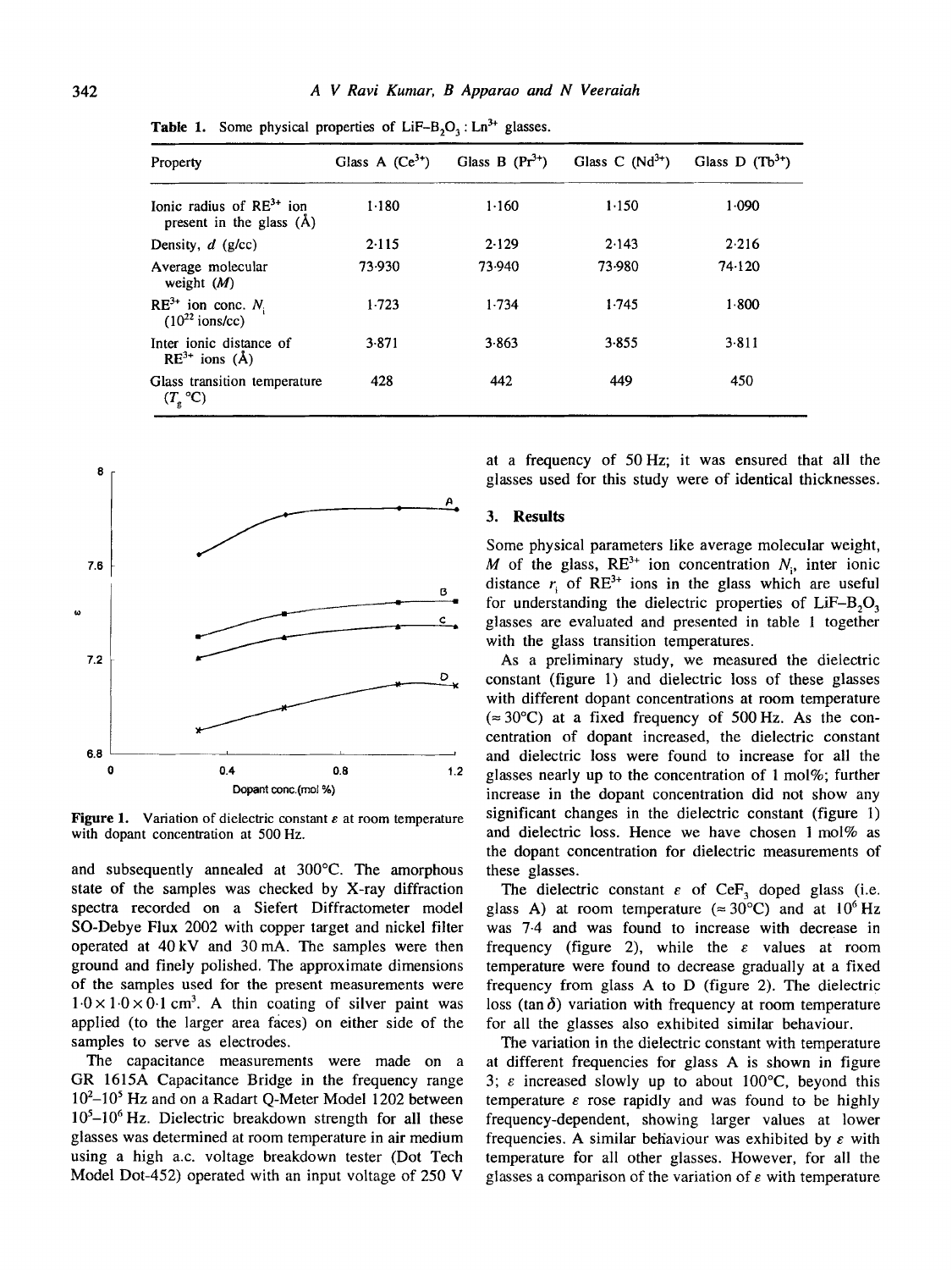| Property                                                          | Glass A $(Ce^{3})$ | Glass B $(Pr3+)$ | Glass C $(Nd^{3+})$ | Glass D $(Tb^{3+})$<br>1.090 |  |
|-------------------------------------------------------------------|--------------------|------------------|---------------------|------------------------------|--|
| Ionic radius of $RE^{3+}$ ion<br>present in the glass $(\hat{A})$ | 1.180              | 1.160            | 1.150               |                              |  |
| Density, $d$ (g/cc)                                               | 2.115              | 2.129            | 2.143               | 2.216                        |  |
| Average molecular<br>weight $(M)$                                 | 73.930             | 73.940           | 73.980              | 74.120                       |  |
| $RE^{3+}$ ion conc. $N_i$<br>$(10^{22}$ ions/cc)                  | 1.723              | 1.734            | 1.745               | 1.800                        |  |
| Inter ionic distance of<br>$RE^{3+}$ ions (Å)                     | 3.871              | 3.863            | 3.855               | 3.811                        |  |
| Glass transition temperature<br>$(T_{\rm g}^{\rm o}C)$            | 428                | 442              | 449                 | 450                          |  |

**Table 1.** Some physical properties of  $LiF-B<sub>2</sub>O<sub>3</sub>$ :  $Ln<sup>3+</sup>$  glasses.



**Figure 1.** Variation of dielectric constant  $\varepsilon$  at room temperature with dopant concentration at 500 Hz.

and subsequently annealed at 300°C. The amorphous state of the samples was checked by X-ray diffraction spectra recorded on a Siefert Diffractometer model SO-Debye Flux 2002 with copper target and nickel filter operated at 40 kV and 30 mA. The samples were then ground and finely polished. The approximate dimensions of the samples used for the present measurements were  $1.0 \times 1.0 \times 0.1$  cm<sup>3</sup>. A thin coating of silver paint was applied (to the larger area faces) on either side of the samples to serve as electrodes.

The capacitance measurements were made on a GR 1615A Capacitance Bridge in the frequency range 10<sup>2</sup>-10<sup>5</sup> Hz and on a Radart Q-Meter Model 1202 between  $10<sup>5</sup>-10<sup>6</sup>$  Hz. Dielectric breakdown strength for all these glasses was determined at room temperature in air medium using a high a.c. voltage breakdown tester (Dot Tech Model Dot-452) operated with an input voltage of 250 V

at a frequency of 50Hz; it was ensured that all the glasses used for this study were of identical thicknesses.

#### **3. Results**

Some physical parameters like average molecular weight, M of the glass,  $RE<sup>3+</sup>$  ion concentration  $N_i$ , inter ionic distance  $r_i$  of RE<sup>3+</sup> ions in the glass which are useful for understanding the dielectric properties of  $LiF-B<sub>2</sub>O<sub>3</sub>$ glasses are evaluated and presented in table 1 together with the glass transition temperatures.

As a preliminary study, we measured the dielectric constant (figure 1) and dielectric loss of these glasses with different dopant concentrations at room temperature  $(\approx 30^{\circ}C)$  at a fixed frequency of 500 Hz. As the concentration of dopant increased, the dielectric constant and dielectric loss were found to increase for all the glasses nearly up to the concentration of  $1 \text{ mol}\%$ ; further increase in the dopant concentration did not show any significant changes in the dielectric constant (figure 1) and dielectric loss. Hence we have chosen 1 mol% as the dopant concentration for dielectric measurements of these glasses.

The dielectric constant  $\varepsilon$  of CeF<sub>3</sub> doped glass (i.e. glass A) at room temperature ( $\approx 30^{\circ}$ C) and at 10<sup>6</sup>Hz was 7-4 and was found to increase with decrease in frequency (figure 2), while the  $\varepsilon$  values at room temperature were found to decrease gradually at a fixed frequency from glass A to D (figure 2). The dielectric loss (tan  $\delta$ ) variation with frequency at room temperature for all the glasses also exhibited similar behaviour.

The variation in the dielectric constant with temperature at different frequencies for glass A is shown in figure 3;  $\varepsilon$  increased slowly up to about 100 $\mathrm{^{\circ}C}$ , beyond this temperature  $\varepsilon$  rose rapidly and was found to be highly frequency-dependent, showing larger values at lower frequencies. A similar behaviour was exhibited by  $\varepsilon$  with temperature for all other glasses. However, for all the glasses a comparison of the variation of  $\varepsilon$  with temperature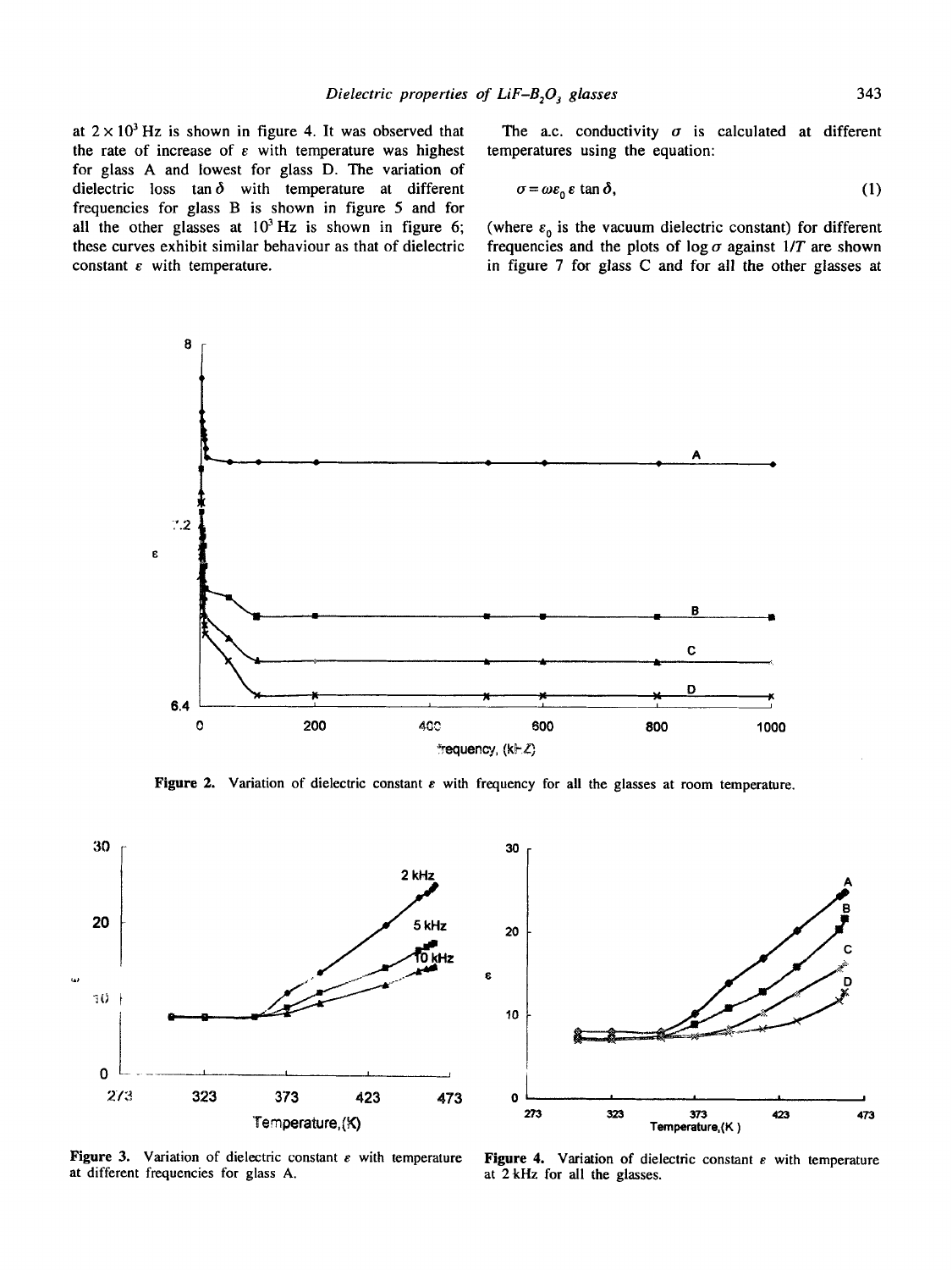at  $2 \times 10^3$  Hz is shown in figure 4. It was observed that the rate of increase of  $\varepsilon$  with temperature was highest for glass A and lowest for glass D. The variation of dielectric loss tan  $\delta$  with temperature at different frequencies for glass B is shown in figure 5 and for all the other glasses at  $10^3$  Hz is shown in figure 6; these curves exhibit similar behaviour as that of dielectric constant  $\varepsilon$  with temperature.

The a.c. conductivity  $\sigma$  is calculated at different temperatures using the equation:

$$
\sigma = \omega \varepsilon_0 \, \varepsilon \, \tan \delta,\tag{1}
$$

(where  $\varepsilon_0$  is the vacuum dielectric constant) for different frequencies and the plots of  $\log \sigma$  against  $1/T$  are shown in figure 7 for glass C and for all the other glasses at



Figure 2. Variation of dielectric constant  $\varepsilon$  with frequency for all the glasses at room temperature.





Figure 3. Variation of dielectric constant  $\varepsilon$  with temperature Figure 4. Variation of dielectric constant  $\varepsilon$  with temperature at different frequencies for glass A. at different frequencies for glass A.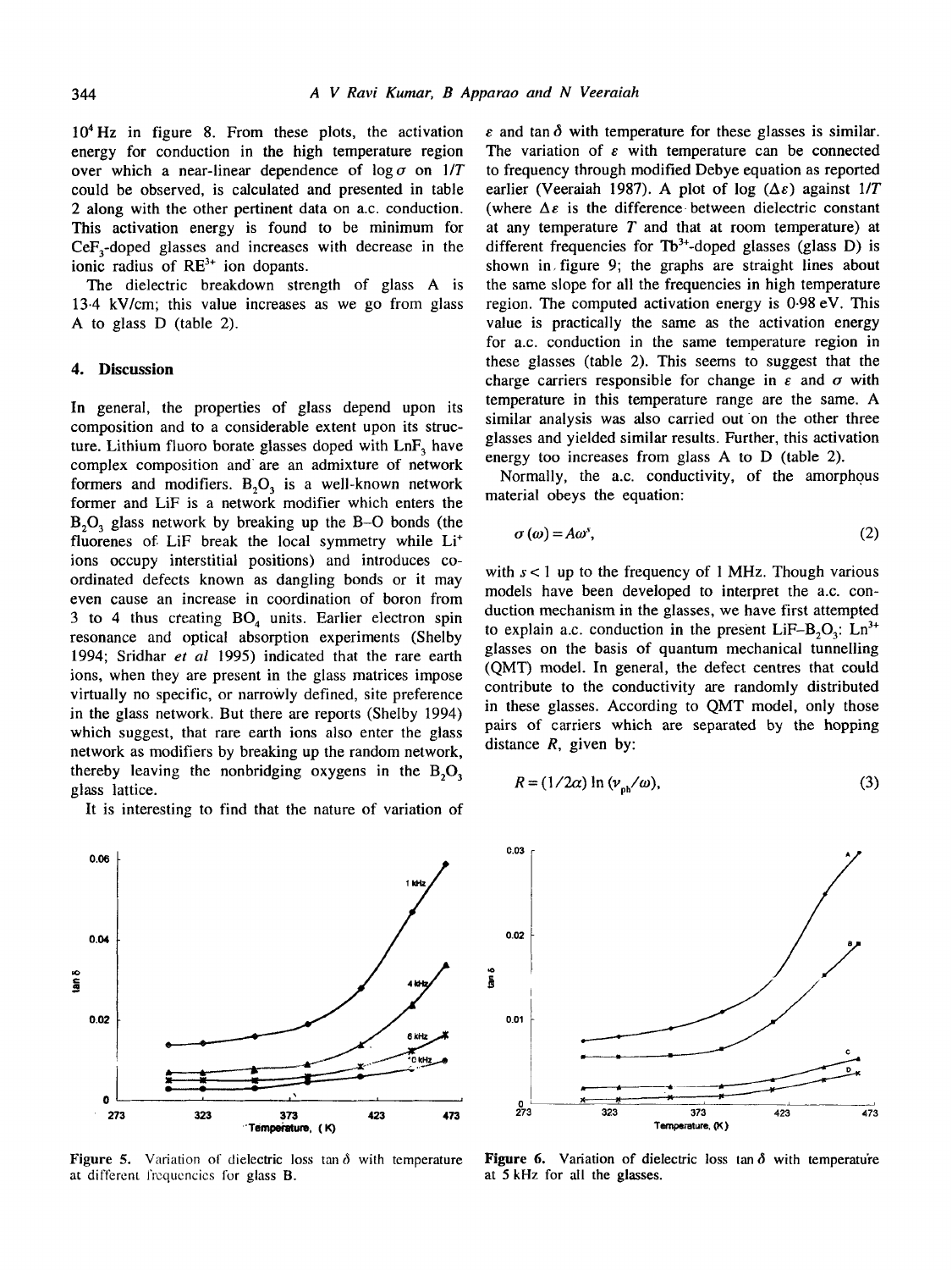$10<sup>4</sup>$  Hz in figure 8. From these plots, the activation energy for conduction in the high temperature region over which a near-linear dependence of  $\log \sigma$  on  $1/T$ could be observed, is calculated and presented in table 2 along with the other pertinent data on a.c. conduction. This activation energy is found to be minimum for  $CeF<sub>3</sub>$ -doped glasses and increases with decrease in the ionic radius of  $RE<sup>3+</sup>$  ion dopants.

The dielectric breakdown strength of glass A is 13.4 kV/cm; this value increases as we go from glass A to glass D (table 2).

### **4. Discussion**

In general, the properties of glass depend upon its composition and to a considerable extent upon its structure. Lithium fluoro borate glasses doped with  $\text{Ln}F_3$  have complex composition and" are an admixture of network formers and modifiers.  $B_2O_3$  is a well-known network former and LiF is a network modifier which enters the  $B_2O_3$  glass network by breaking up the B-O bonds (the fluorenes of LiF break the local symmetry while Li<sup>+</sup> ions occupy interstitial positions) and introduces coordinated defects known as dangling bonds or it may even cause an increase in coordination of boron from 3 to 4 thus creating  $BO<sub>a</sub>$  units. Earlier electron spin resonance and optical absorption experiments (Shelby 1994; Sridhar *et al* 1995) indicated that the rare earth ions, when they are present in the glass matrices impose virtually no specific, or narrowly defined, site preference in the glass network. But there are reports (Shelby 1994) which suggest, that rare earth ions also enter the glass network as modifiers by breaking up the random network, thereby leaving the nonbridging oxygens in the  $B_2O_3$ glass lattice.

It is interesting to find that the nature of variation of



at different frequencies for glass **B**. **at 5 kHz** for all the glasses.

 $\varepsilon$  and tan  $\delta$  with temperature for these glasses is similar. The variation of  $\varepsilon$  with temperature can be connected to frequency through modified Debye equation as reported earlier (Veeraiah 1987). A plot of log  $(\Delta \varepsilon)$  against  $1/T$ (where  $\Delta \varepsilon$  is the difference between dielectric constant at any temperature  $T$  and that at room temperature) at different frequencies for  $Tb^{3+}$ -doped glasses (glass D) is shown in, figure 9; the graphs are straight lines about the same slope for all the frequencies in high temperature region. The computed activation energy is 0-98 eV. This value is practically the same as the activation energy for a.c. conduction in the same temperature region in these glasses (table 2). This seems to suggest that the charge carriers responsible for change in  $\varepsilon$  and  $\sigma$  with temperature in this temperature range are the same. A similar analysis was also carried out on the other three glasses and yielded similar results. Further, this activation energy too increases from glass A to D (table 2).

Normally, the a.c. conductivity, of the amorphous material obeys the equation:

$$
\sigma(\omega) = A\omega^s,\tag{2}
$$

with  $s < 1$  up to the frequency of 1 MHz. Though various models have been developed to interpret the a.c. conduction mechanism in the glasses, we have first attempted to explain a.c. conduction in the present LiF-B<sub>2</sub>O<sub>3</sub>: Ln<sup>3+</sup> glasses on the basis of quantum mechanical tunnelling (QMT) model. In general, the defect centres that could contribute to the conductivity are randomly distributed in these glasses. According to QMT model, only those pairs of carriers which are separated by the hopping distance  $R$ , given by:

$$
R = (1/2a) \ln \left( v_{\text{th}} / \omega \right),\tag{3}
$$



Figure 5. Variation of dielectric loss tan  $\delta$  with temperature Figure 6. Variation of dielectric loss tan  $\delta$  with temperature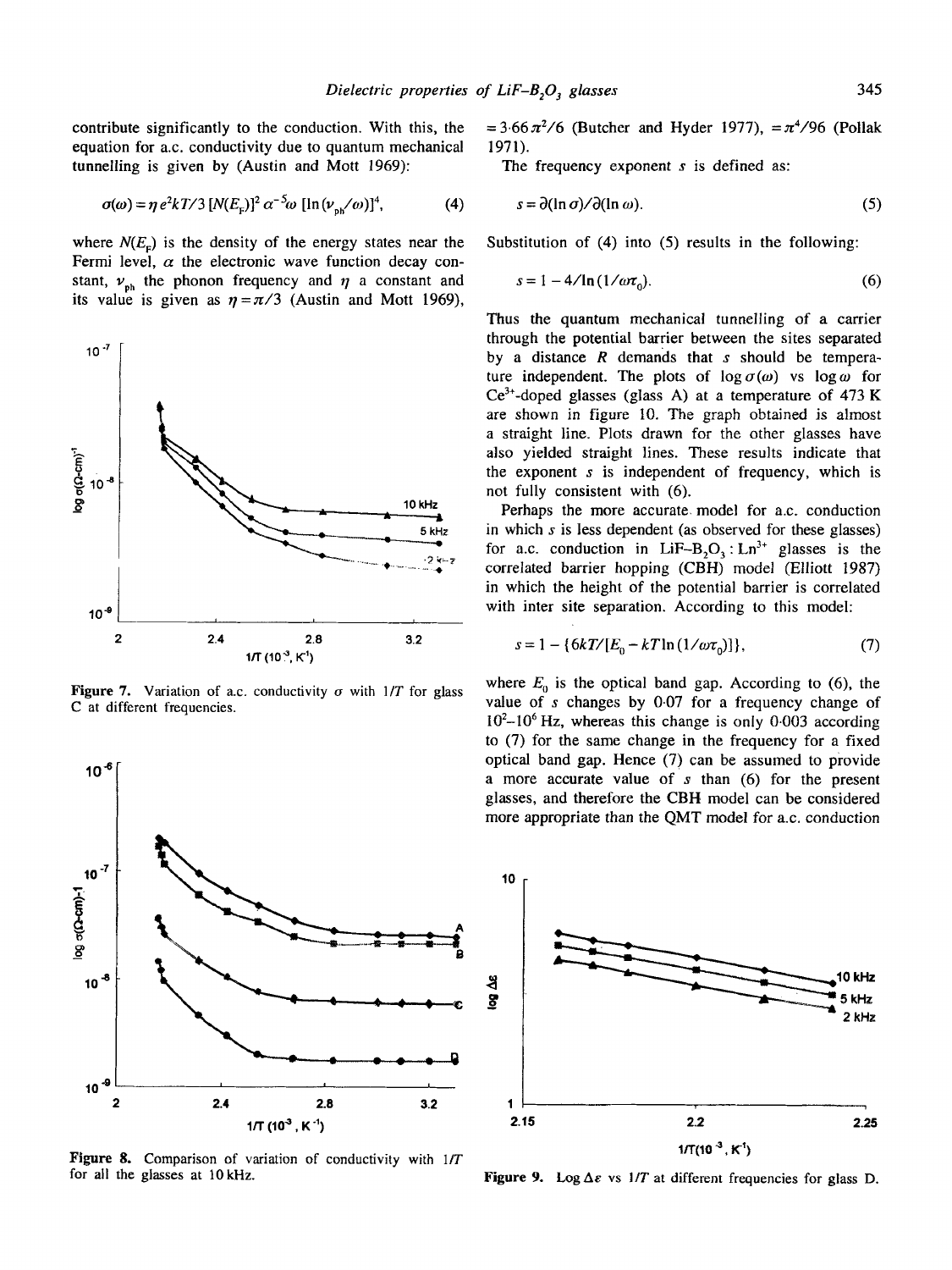contribute significantly to the conduction. With this, the equation for a.c. conductivity due to quantum mechanical tunnelling is given by (Austin and Mott 1969):

$$
\sigma(\omega) = \eta e^2 k T / 3 [N(E_{\rm E})]^2 \alpha^{-5} \omega [\ln(\nu_{\rm ph}/\omega)]^4, \tag{4}
$$

where  $N(E<sub>r</sub>)$  is the density of the energy states near the Fermi level,  $\alpha$  the electronic wave function decay constant,  $v_{ph}$  the phonon frequency and  $\eta$  a constant and its value is given as  $\eta = \pi/3$  (Austin and Mott 1969),



Figure 7. Variation of a.c. conductivity  $\sigma$  with  $1/T$  for glass C at different frequencies.



Figure 8. Comparison of variation of conductivity with *lIT*  for all the glasses at 10kHz.

 $= 3.66 \pi^2/6$  (Butcher and Hyder 1977),  $= \pi^4/96$  (Pollak 1971).

The frequency exponent  $s$  is defined as:

$$
\sigma(\omega) = \eta e^2 k \mathcal{T}/3 \left[ N(E_r) \right]^2 \alpha^{-5} \omega \left[ \ln(\nu_{\text{ex}}/\omega) \right]^4, \tag{4} \qquad s = \partial(\ln \sigma)/\partial(\ln \omega). \tag{5}
$$

Substitution of (4) into (5) results in the following:

$$
s = 1 - 4/\ln(1/\omega\tau_0). \tag{6}
$$

Thus the quantum mechanical tunnelling of a carrier through the potential barrier between the sites separated by a distance  $R$  demands that  $s$  should be temperature independent. The plots of  $\log \sigma(\omega)$  vs  $\log \omega$  for  $Ce^{3+}$ -doped glasses (glass A) at a temperature of 473 K are shown in figure 10. The graph obtained is almost a straight line. Plots drawn for the other glasses have also yielded straight lines. These results indicate that the exponent  $s$  is independent of frequency, which is not fully consistent with (6).

Perhaps the more accurate, model for a.c. conduction in which s is less dependent (as observed for these glasses) for a.c. conduction in LiF-B<sub>2</sub>O<sub>3</sub>: Ln<sup>3+</sup> glasses is the correlated barrier hopping (CBH) model (Elliott 1987) in which the height of the potential barrier is correlated with inter site separation. According to this model:

$$
s = 1 - \{6kT/[E_0 - kT\ln(1/\omega\tau_0)]\},\tag{7}
$$

where  $E_0$  is the optical band gap. According to (6), the value of s changes by 0.07 for a frequency change of  $10^2$ -10<sup>6</sup> Hz, whereas this change is only 0.003 according to (7) for the same change in the frequency for a fixed optical band gap. Hence (7) can be assumed to provide a more accurate value of s than (6) for the present glasses, and therefore the CBH model can be considered more appropriate than the QMT model for a.c. conduction



Figure 9. Log  $\Delta \varepsilon$  vs  $1/T$  at different frequencies for glass D.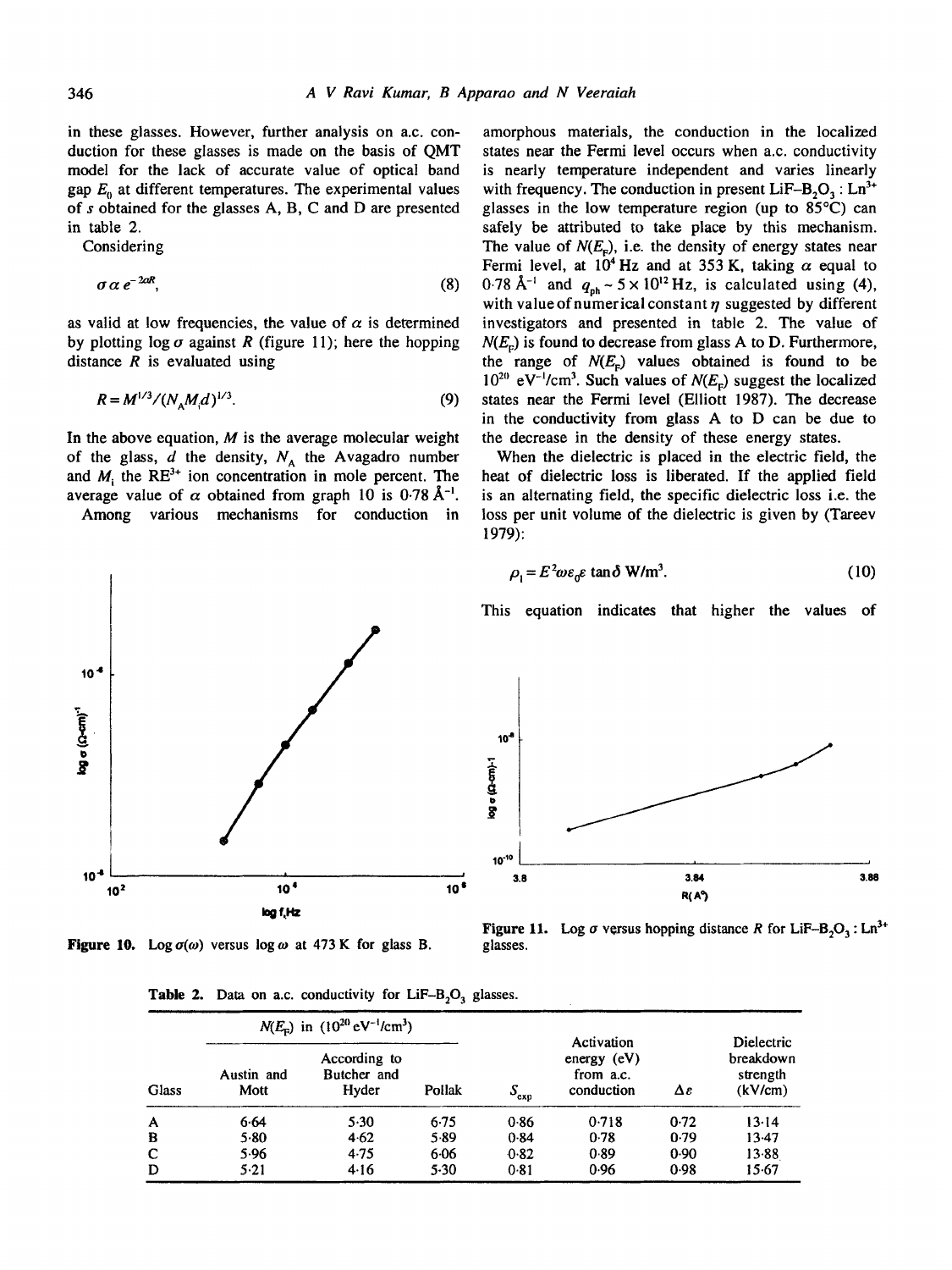in these glasses. However, further analysis on a.c. conduction for these glasses is made on the basis of QMT model for the lack of accurate value of optical band gap  $E_0$  at different temperatures. The experimental values of s obtained for the glasses A, B, C and D are presented in table 2.

Considering

$$
\sigma \alpha \, e^{-2\alpha R},\tag{8}
$$

as valid at low frequencies, the value of  $\alpha$  is determined by plotting  $log \sigma$  against R (figure 11); here the hopping distance  $R$  is evaluated using

$$
R = M^{1/3} / (N_A M_d)^{1/3}.
$$
 (9)

In the above equation,  $M$  is the average molecular weight of the glass,  $d$  the density,  $N_A$  the Avagadro number and  $M_i$  the RE<sup>3+</sup> ion concentration in mole percent. The average value of  $\alpha$  obtained from graph 10 is 0.78 Å<sup>-1</sup>. Among various mechanisms for conduction in amorphous materials, the conduction in the localized states near the Fermi level occurs when a.c. conductivity is nearly temperature independent and varies linearly with frequency. The conduction in present LiF-B<sub>2</sub>O<sub>2</sub> : Ln<sup>3+</sup> glasses in the low temperature region (up to 85°C) can safely be attributed to take place by this mechanism. The value of  $N(E<sub>F</sub>)$ , i.e. the density of energy states near Fermi level, at  $10^4$  Hz and at 353 K, taking  $\alpha$  equal to 0.78 Å<sup>-1</sup> and  $q_{ph} \sim 5 \times 10^{12}$  Hz, is calculated using (4), with value of numerical constant  $\eta$  suggested by different investigators and presented in table 2. The value of  $N(E<sub>r</sub>)$  is found to decrease from glass A to D. Furthermore, the range of  $N(E_r)$  values obtained is found to be  $10^{20}$  eV<sup>-1</sup>/cm<sup>3</sup>. Such values of  $N(E<sub>c</sub>)$  suggest the localized states near the Fermi level (Elliott 1987). The decrease in the conductivity from glass A to D can be due to the decrease in the density of these energy states.

When the dielectric is placed in the electric field, the heat of dielectric loss is liberated. If the applied field is an alternating field, the specific dielectric loss i.e. the loss per unit volume of the dielectric is given by (Tareev 1979):

$$
\rho_{\rm i} = E^2 \omega \varepsilon_0 \varepsilon \tan \delta \, \mathbf{W/m^3}.\tag{10}
$$





**Figure 10.** Log  $\sigma(\omega)$  versus log  $\omega$  at 473 K for glass B. glasses.

 $10<sup>-8</sup>$  $\frac{5}{8}$ 10-Io 3.84 3.88 **R(^~** 

**Figure 11.** Log  $\sigma$  versus hopping distance R for LiF-B<sub>2</sub>O<sub>3</sub>: Ln<sup>3+</sup>

| <b>Table 2.</b> Data on a.c. conductivity for LiF- $B_2O_3$ glasses. |
|----------------------------------------------------------------------|
|                                                                      |

| <b>Glass</b> | $N(E_{\rm F})$ in $(10^{20} \text{ eV}^{-1}/\text{cm}^3)$ |                                      |        |               |                                                        |      |                                                       |
|--------------|-----------------------------------------------------------|--------------------------------------|--------|---------------|--------------------------------------------------------|------|-------------------------------------------------------|
|              | Austin and<br>Mott                                        | According to<br>Butcher and<br>Hyder | Pollak | $S_{\rm exp}$ | Activation<br>energy $(eV)$<br>from a.c.<br>conduction | Δε   | <b>Dielectric</b><br>breakdown<br>strength<br>(kV/cm) |
| $\mathbf{A}$ | 6.64                                                      | 5.30                                 | 6.75   | 0.86          | 0.718                                                  | 0.72 | 13.14                                                 |
| B            | $5-80$                                                    | 4.62                                 | 5.89   | 0.84          | 0.78                                                   | 0.79 | $13-47$                                               |
| $\mathbf C$  | 5.96                                                      | 4.75                                 | 6.06   | 0.82          | 0.89                                                   | 0.90 | 13.88                                                 |
| D            | 5.21                                                      | 4.16                                 | $5-30$ | 0.81          | 0.96                                                   | 0.98 | 15.67                                                 |